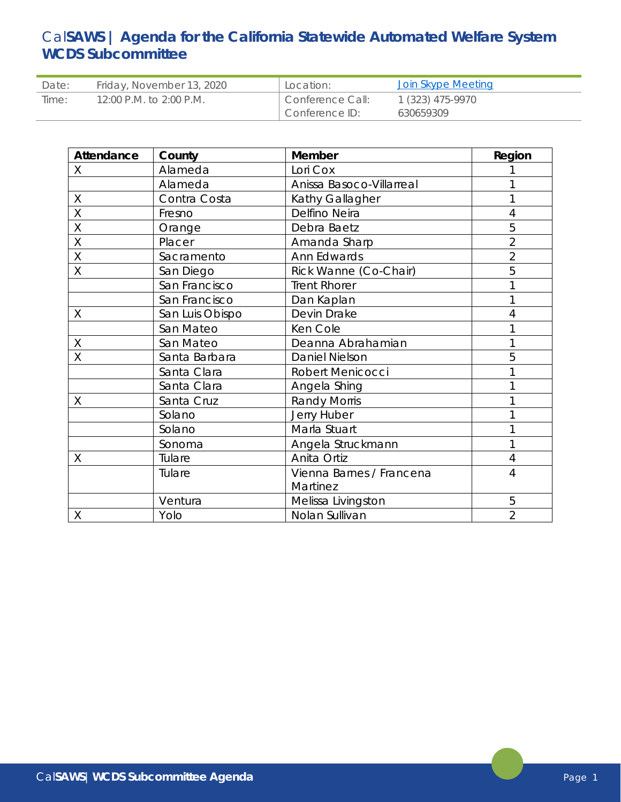# Cal**SAWS | Agenda for the California Statewide Automated Welfare System WCDS Subcommittee**

| Date: | Friday, November 13, 2020 | Location:        | Join Skype Meeting |
|-------|---------------------------|------------------|--------------------|
| Time: | 12:00 P.M. to 2:00 P.M.   | Conference Call: | 1 (323) 475-9970   |
|       |                           | Conference ID:   | 630659309          |

| Attendance  | County          | Member                           | Region         |
|-------------|-----------------|----------------------------------|----------------|
| X           | Alameda         | Lori Cox                         |                |
|             | Alameda         | Anissa Basoco-Villarreal         |                |
| $\mathsf X$ | Contra Costa    | Kathy Gallagher                  |                |
| X           | Fresno          | Delfino Neira                    | 4              |
| $\sf X$     | Orange          | Debra Baetz                      | 5              |
| $\sf X$     | Placer          | Amanda Sharp                     | $\overline{2}$ |
| $\sf X$     | Sacramento      | Ann Edwards                      | $\overline{2}$ |
| X           | San Diego       | Rick Wanne (Co-Chair)            | 5              |
|             | San Francisco   | <b>Trent Rhorer</b>              |                |
|             | San Francisco   | Dan Kaplan                       |                |
| Χ           | San Luis Obispo | Devin Drake                      | 4              |
|             | San Mateo       | Ken Cole                         |                |
| $\mathsf X$ | San Mateo       | Deanna Abrahamian                |                |
| X           | Santa Barbara   | <b>Daniel Nielson</b>            | 5              |
|             | Santa Clara     | Robert Menicocci                 |                |
|             | Santa Clara     | Angela Shing                     |                |
| Χ           | Santa Cruz      | <b>Randy Morris</b>              |                |
|             | Solano          | Jerry Huber                      |                |
|             | Solano          | Marla Stuart                     |                |
|             | Sonoma          | Angela Struckmann                |                |
| Χ           | Tulare          | Anita Ortiz                      | 4              |
|             | Tulare          | Vienna Barnes / Francena         | 4              |
|             |                 | Martinez                         |                |
|             | Ventura         | Melissa Livingston               | 5              |
| Χ           | Yolo            | $\overline{2}$<br>Nolan Sullivan |                |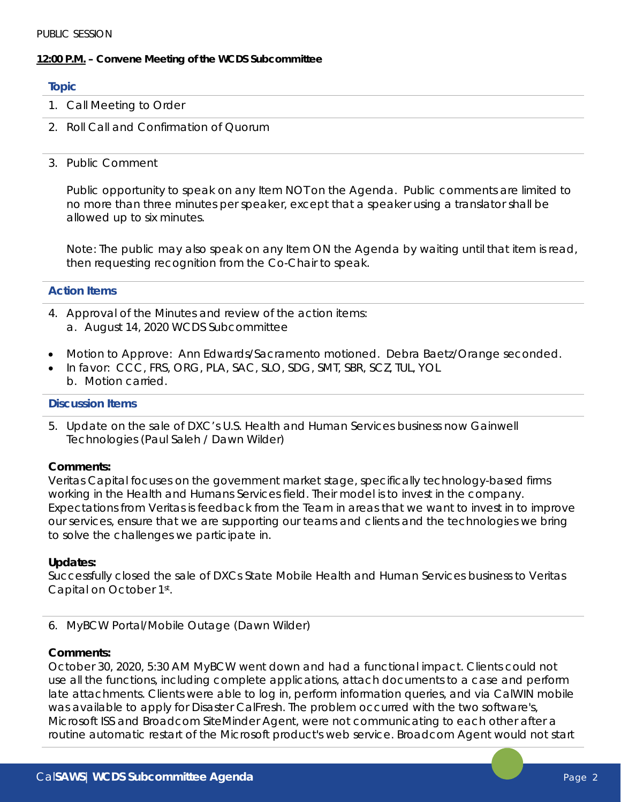## **12:00 P.M. – Convene Meeting of the WCDS Subcommittee**

#### **Topic**

- 1. Call Meeting to Order
- 2. Roll Call and Confirmation of Quorum
- 3. Public Comment

Public opportunity to speak on any Item NOT on the Agenda. Public comments are limited to no more than three minutes per speaker, except that a speaker using a translator shall be allowed up to six minutes.

Note: The public may also speak on any Item ON the Agenda by waiting until that item is read, then requesting recognition from the Co-Chair to speak.

## **Action Items**

- 4. Approval of the Minutes and review of the action items: a. August 14, 2020 WCDS Subcommittee
- Motion to Approve: Ann Edwards/Sacramento motioned. Debra Baetz/Orange seconded.
- In favor: CCC, FRS, ORG, PLA, SAC, SLO, SDG, SMT, SBR, SCZ, TUL, YOL b. Motion carried.

#### **Discussion Items**

5. Update on the sale of DXC's U.S. Health and Human Services business now Gainwell Technologies (Paul Saleh / Dawn Wilder)

## **Comments:**

Veritas Capital focuses on the government market stage, specifically technology-based firms working in the Health and Humans Services field. Their model is to invest in the company. Expectations from Veritas is feedback from the Team in areas that we want to invest in to improve our services, ensure that we are supporting our teams and clients and the technologies we bring to solve the challenges we participate in.

## **Updates:**

Successfully closed the sale of DXCs State Mobile Health and Human Services business to Veritas Capital on October 1st.

## 6. MyBCW Portal/Mobile Outage (Dawn Wilder)

## **Comments:**

October 30, 2020, 5:30 AM MyBCW went down and had a functional impact. Clients could not use all the functions, including complete applications, attach documents to a case and perform late attachments. Clients were able to log in, perform information queries, and via CalWIN mobile was available to apply for Disaster CalFresh. The problem occurred with the two software's, Microsoft ISS and Broadcom SiteMinder Agent, were not communicating to each other after a routine automatic restart of the Microsoft product's web service. Broadcom Agent would not start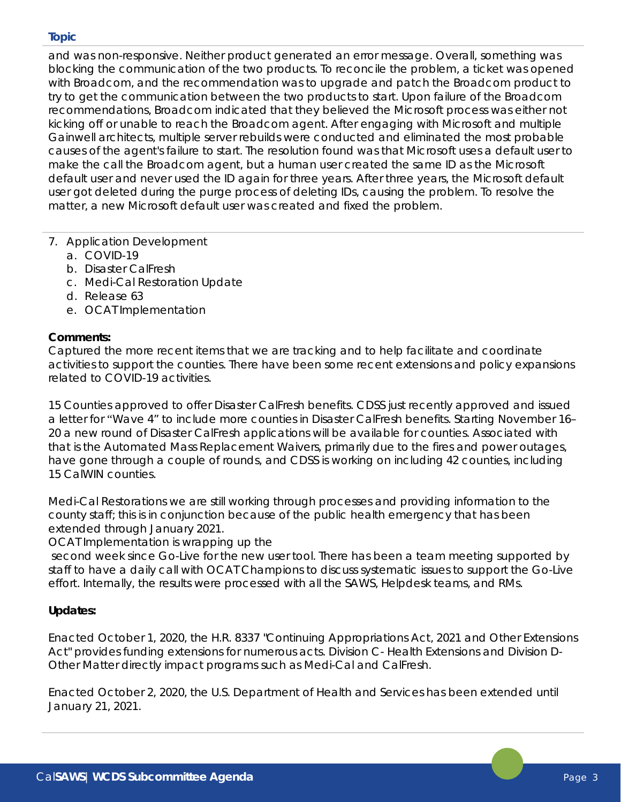## **Topic**

and was non-responsive. Neither product generated an error message. Overall, something was blocking the communication of the two products. To reconcile the problem, a ticket was opened with Broadcom, and the recommendation was to upgrade and patch the Broadcom product to try to get the communication between the two products to start. Upon failure of the Broadcom recommendations, Broadcom indicated that they believed the Microsoft process was either not kicking off or unable to reach the Broadcom agent. After engaging with Microsoft and multiple Gainwell architects, multiple server rebuilds were conducted and eliminated the most probable causes of the agent's failure to start. The resolution found was that Microsoft uses a default user to make the call the Broadcom agent, but a human user created the same ID as the Microsoft default user and never used the ID again for three years. After three years, the Microsoft default user got deleted during the purge process of deleting IDs, causing the problem. To resolve the matter, a new Microsoft default user was created and fixed the problem.

## 7. Application Development

- a. COVID-19
- b. Disaster CalFresh
- c. Medi-Cal Restoration Update
- d. Release 63
- e. OCAT Implementation

## **Comments:**

Captured the more recent items that we are tracking and to help facilitate and coordinate activities to support the counties. There have been some recent extensions and policy expansions related to COVID-19 activities.

15 Counties approved to offer Disaster CalFresh benefits. CDSS just recently approved and issued a letter for "Wave 4" to include more counties in Disaster CalFresh benefits. Starting November 16– 20 a new round of Disaster CalFresh applications will be available for counties. Associated with that is the Automated Mass Replacement Waivers, primarily due to the fires and power outages, have gone through a couple of rounds, and CDSS is working on including 42 counties, including 15 CalWIN counties.

Medi-Cal Restorations we are still working through processes and providing information to the county staff; this is in conjunction because of the public health emergency that has been extended through January 2021.

OCAT Implementation is wrapping up the

second week since Go-Live for the new user tool. There has been a team meeting supported by staff to have a daily call with OCAT Champions to discuss systematic issues to support the Go-Live effort. Internally, the results were processed with all the SAWS, Helpdesk teams, and RMs.

# **Updates:**

Enacted October 1, 2020, the H.R. 8337 "Continuing Appropriations Act, 2021 and Other Extensions Act" provides funding extensions for numerous acts. Division C- Health Extensions and Division D-Other Matter directly impact programs such as Medi-Cal and CalFresh.

Enacted October 2, 2020, the U.S. Department of Health and Services has been extended until January 21, 2021.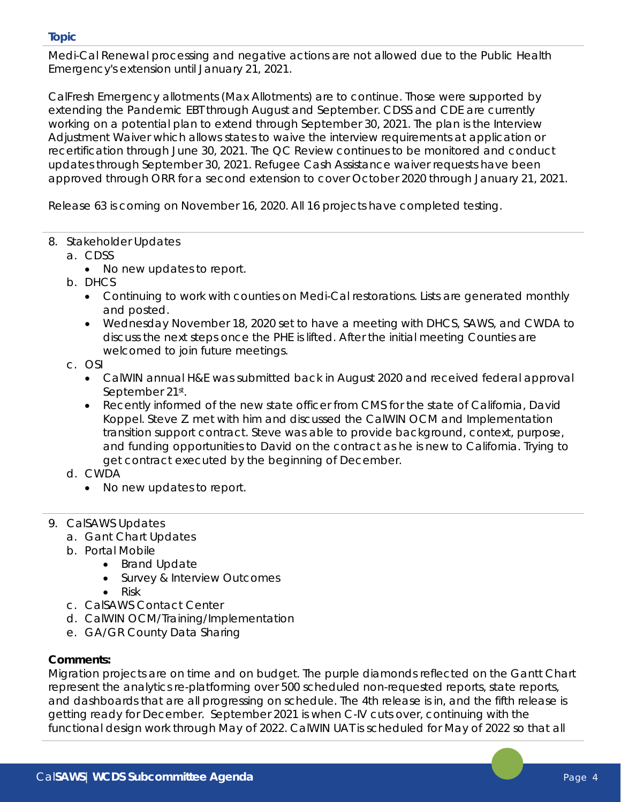## **Topic**

Medi-Cal Renewal processing and negative actions are not allowed due to the Public Health Emergency's extension until January 21, 2021.

CalFresh Emergency allotments (Max Allotments) are to continue. Those were supported by extending the Pandemic EBT through August and September. CDSS and CDE are currently working on a potential plan to extend through September 30, 2021. The plan is the Interview Adjustment Waiver which allows states to waive the interview requirements at application or recertification through June 30, 2021. The QC Review continues to be monitored and conduct updates through September 30, 2021. Refugee Cash Assistance waiver requests have been approved through ORR for a second extension to cover October 2020 through January 21, 2021.

Release 63 is coming on November 16, 2020. All 16 projects have completed testing.

- 8. Stakeholder Updates
	- a. CDSS
		- No new updates to report.
	- b. DHCS
		- Continuing to work with counties on Medi-Cal restorations. Lists are generated monthly and posted.
		- Wednesday November 18, 2020 set to have a meeting with DHCS, SAWS, and CWDA to discuss the next steps once the PHE is lifted. After the initial meeting Counties are welcomed to join future meetings.
	- c. OSI
		- CalWIN annual H&E was submitted back in August 2020 and received federal approval September 21st.
		- Recently informed of the new state officer from CMS for the state of California, David Koppel. Steve Z. met with him and discussed the CalWIN OCM and Implementation transition support contract. Steve was able to provide background, context, purpose, and funding opportunities to David on the contract as he is new to California. Trying to get contract executed by the beginning of December.
	- d. CWDA
		- No new updates to report.
- 9. CalSAWS Updates
	- a. Gant Chart Updates
	- b. Portal Mobile
		- Brand Update
			- Survey & Interview Outcomes
			- Risk
	- c. CalSAWS Contact Center
	- d. CalWIN OCM/Training/Implementation
	- e. GA/GR County Data Sharing

# **Comments:**

Migration projects are on time and on budget. The purple diamonds reflected on the Gantt Chart represent the analytics re-platforming over 500 scheduled non-requested reports, state reports, and dashboards that are all progressing on schedule. The 4th release is in, and the fifth release is getting ready for December. September 2021 is when C-IV cuts over, continuing with the functional design work through May of 2022. CalWIN UAT is scheduled for May of 2022 so that all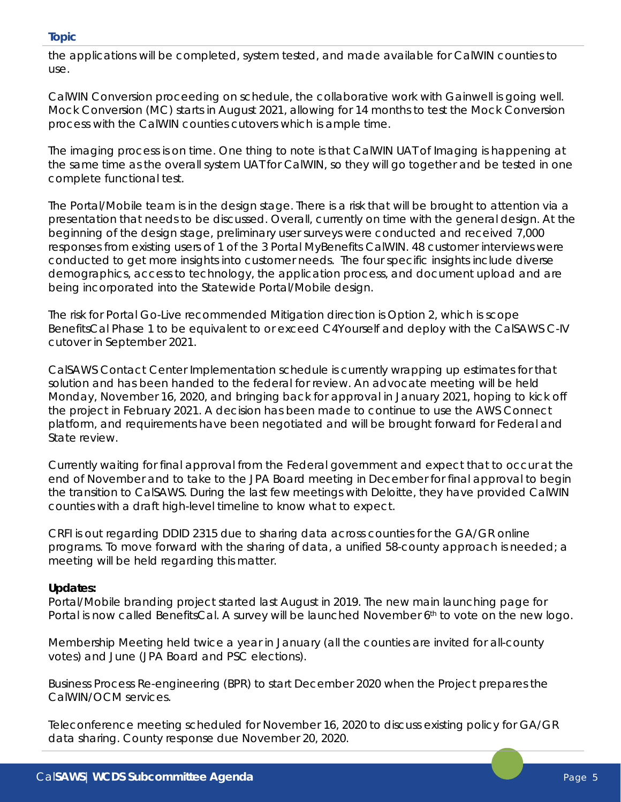## **Topic**

the applications will be completed, system tested, and made available for CalWIN counties to use.

CalWIN Conversion proceeding on schedule, the collaborative work with Gainwell is going well. Mock Conversion (MC) starts in August 2021, allowing for 14 months to test the Mock Conversion process with the CalWIN counties cutovers which is ample time.

The imaging process is on time. One thing to note is that CalWIN UAT of Imaging is happening at the same time as the overall system UAT for CalWIN, so they will go together and be tested in one complete functional test.

The Portal/Mobile team is in the design stage. There is a risk that will be brought to attention via a presentation that needs to be discussed. Overall, currently on time with the general design. At the beginning of the design stage, preliminary user surveys were conducted and received 7,000 responses from existing users of 1 of the 3 Portal MyBenefits CalWIN. 48 customer interviews were conducted to get more insights into customer needs. The four specific insights include diverse demographics, access to technology, the application process, and document upload and are being incorporated into the Statewide Portal/Mobile design.

The risk for Portal Go-Live recommended Mitigation direction is Option 2, which is scope BenefitsCal Phase 1 to be equivalent to or exceed C4Yourself and deploy with the CalSAWS C-IV cutover in September 2021.

CalSAWS Contact Center Implementation schedule is currently wrapping up estimates for that solution and has been handed to the federal for review. An advocate meeting will be held Monday, November 16, 2020, and bringing back for approval in January 2021, hoping to kick off the project in February 2021. A decision has been made to continue to use the AWS Connect platform, and requirements have been negotiated and will be brought forward for Federal and State review.

Currently waiting for final approval from the Federal government and expect that to occur at the end of November and to take to the JPA Board meeting in December for final approval to begin the transition to CalSAWS. During the last few meetings with Deloitte, they have provided CalWIN counties with a draft high-level timeline to know what to expect.

CRFI is out regarding DDID 2315 due to sharing data across counties for the GA/GR online programs. To move forward with the sharing of data, a unified 58-county approach is needed; a meeting will be held regarding this matter.

## **Updates:**

Portal/Mobile branding project started last August in 2019. The new main launching page for Portal is now called BenefitsCal. A survey will be launched November 6th to vote on the new logo.

Membership Meeting held twice a year in January (all the counties are invited for all-county votes) and June (JPA Board and PSC elections).

Business Process Re-engineering (BPR) to start December 2020 when the Project prepares the CalWIN/OCM services.

Teleconference meeting scheduled for November 16, 2020 to discuss existing policy for GA/GR data sharing. County response due November 20, 2020.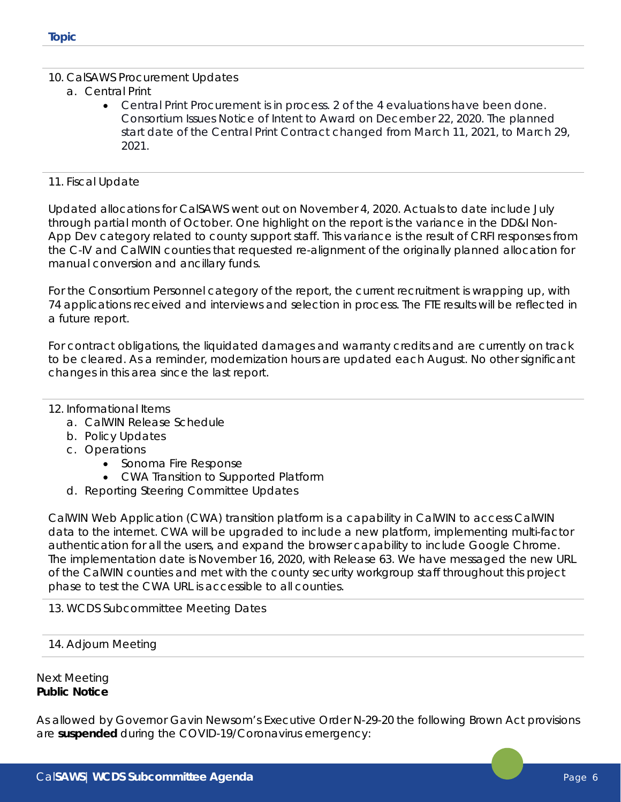- 10. CalSAWS Procurement Updates
	- a. Central Print
		- Central Print Procurement is in process. 2 of the 4 evaluations have been done. Consortium Issues Notice of Intent to Award on December 22, 2020. The planned start date of the Central Print Contract changed from March 11, 2021, to March 29, 2021.

#### 11. Fiscal Update

Updated allocations for CalSAWS went out on November 4, 2020. Actuals to date include July through partial month of October. One highlight on the report is the variance in the DD&I Non-App Dev category related to county support staff. This variance is the result of CRFI responses from the C-IV and CalWIN counties that requested re-alignment of the originally planned allocation for manual conversion and ancillary funds.

For the Consortium Personnel category of the report, the current recruitment is wrapping up, with 74 applications received and interviews and selection in process. The FTE results will be reflected in a future report.

For contract obligations, the liquidated damages and warranty credits and are currently on track to be cleared. As a reminder, modernization hours are updated each August. No other significant changes in this area since the last report.

## 12. Informational Items

- a. CalWIN Release Schedule
- b. Policy Updates
- c. Operations
	- Sonoma Fire Response
	- CWA Transition to Supported Platform
- d. Reporting Steering Committee Updates

CalWIN Web Application (CWA) transition platform is a capability in CalWIN to access CalWIN data to the internet. CWA will be upgraded to include a new platform, implementing multi-factor authentication for all the users, and expand the browser capability to include Google Chrome. The implementation date is November 16, 2020, with Release 63. We have messaged the new URL of the CalWIN counties and met with the county security workgroup staff throughout this project phase to test the CWA URL is accessible to all counties.

## 13. WCDS Subcommittee Meeting Dates

## 14. Adjourn Meeting

## Next Meeting **Public Notice**

As allowed by Governor Gavin Newsom's Executive Order N-29-20 the following Brown Act provisions are **suspended** during the COVID-19/Coronavirus emergency: